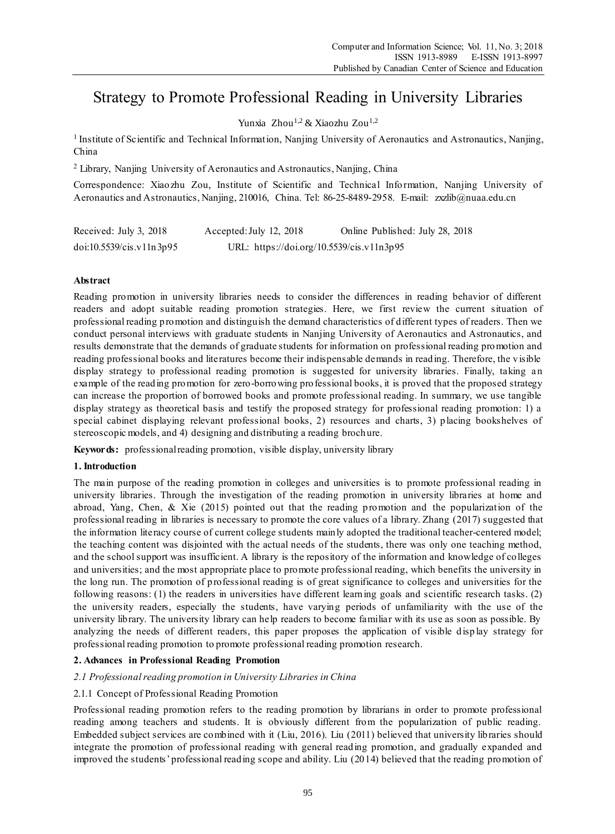# Strategy to Promote Professional Reading in University Libraries

Yunxia Zhou<sup>1,2</sup> & Xiaozhu Zou<sup>1,2</sup>

<sup>1</sup> Institute of Scientific and Technical Information, Nanjing University of Aeronautics and Astronautics, Nanjing, China

<sup>2</sup> Library, Nanjing University of Aeronautics and Astronautics, Nanjing, China

Correspondence: Xiaozhu Zou, Institute of Scientific and Technical Information, Nanjing University of Aeronautics and Astronautics, Nanjing, 210016, China. Tel: 86-25-8489-2958. E-mail: zxzlib@nuaa.edu.cn

| Received: July 3, 2018        | Accepted: July 12, 2018                   | Online Published: July 28, 2018 |
|-------------------------------|-------------------------------------------|---------------------------------|
| $doi:10.5539/c$ is $.11n3p95$ | URL: https://doi.org/10.5539/cis.v11n3p95 |                                 |

# **Abstract**

Reading promotion in university libraries needs to consider the differences in reading behavior of different readers and adopt suitable reading promotion strategies. Here, we first review the current situation of professional reading promotion and distinguish the demand characteristics of different types of readers. Then we conduct personal interviews with graduate students in Nanjing University of Aeronautics and Astronautics, and results demonstrate that the demands of graduate students for information on professional reading promotion and reading professional books and literatures become their indispensable demands in reading. Therefore, the visible display strategy to professional reading promotion is suggested for university libraries. Finally, taking an example of the reading promotion for zero-borrowing professional books, it is proved that the proposed strategy can increase the proportion of borrowed books and promote professional reading. In summary, we use tangible display strategy as theoretical basis and testify the proposed strategy for professional reading promotion: 1) a special cabinet displaying relevant professional books, 2) resources and charts, 3) placing bookshelves of stereoscopic models, and 4) designing and distributing a reading brochure.

**Keywords:** professional reading promotion, visible display, university library

# **1. Introduction**

The main purpose of the reading promotion in colleges and universities is to promote professional reading in university libraries. Through the investigation of the reading promotion in university libraries at home and abroad, Yang, Chen, & Xie (2015) pointed out that the reading promotion and the popularization of the professional reading in libraries is necessary to promote the core values of a library. Zhang (2017) suggested that the information literacy course of current college students mainly adopted the traditional teacher-centered model; the teaching content was disjointed with the actual needs of the students, there was only one teaching method, and the school support was insufficient. A library is the repository of the information and knowledge of colleges and universities; and the most appropriate place to promote professional reading, which benefits the university in the long run. The promotion of professional reading is of great significance to colleges and universities for the following reasons: (1) the readers in universities have different learning goals and scientific research tasks. (2) the university readers, especially the students, have varying periods of unfamiliarity with the use of the university library. The university library can help readers to become familiar with its use as soon as possible. By analyzing the needs of different readers, this paper proposes the application of visible disp lay strategy for professional reading promotion to promote professional reading promotion research.

# **2. Advances in Professional Reading Promotion**

# *2.1 Professional reading promotion in University Libraries in China*

# 2.1.1 Concept of Professional Reading Promotion

Professional reading promotion refers to the reading promotion by librarians in order to promote professional reading among teachers and students. It is obviously different from the popularization of public reading. Embedded subject services are combined with it (Liu, 2016). Liu (2011) believed that university libraries should integrate the promotion of professional reading with general reading promotion, and gradually expanded and improved the students' professional reading scope and ability. Liu (2014) believed that the reading promotion of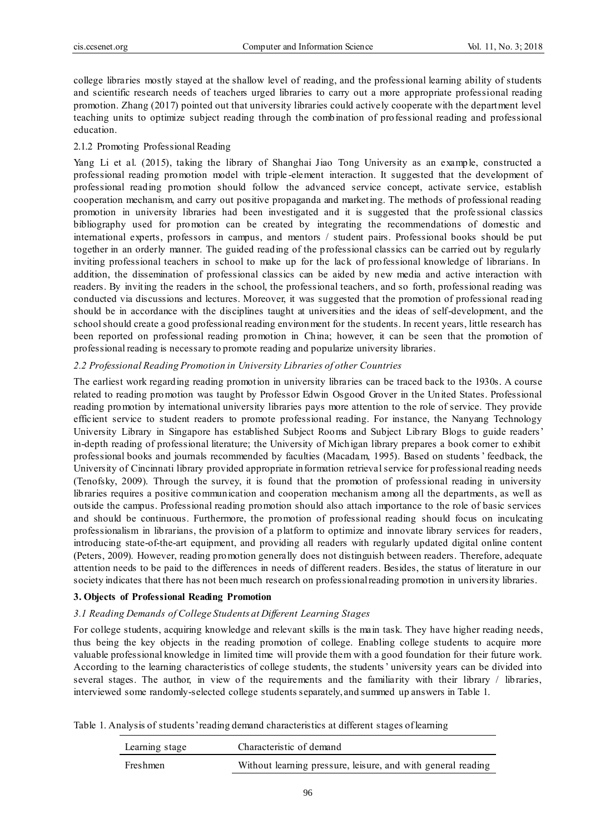college libraries mostly stayed at the shallow level of reading, and the professional learning ability of students and scientific research needs of teachers urged libraries to carry out a more appropriate professional reading promotion. Zhang (2017) pointed out that university libraries could actively cooperate with the department level teaching units to optimize subject reading through the combination of professional reading and professional education.

# 2.1.2 Promoting Professional Reading

Yang Li et al. (2015), taking the library of Shanghai Jiao Tong University as an example, constructed a professional reading promotion model with triple -element interaction. It suggested that the development of professional reading promotion should follow the advanced service concept, activate service, establish cooperation mechanism, and carry out positive propaganda and marketing. The methods of professional reading promotion in university libraries had been investigated and it is suggested that the profe ssional classics bibliography used for promotion can be created by integrating the recommendations of domestic and international experts, professors in campus, and mentors / student pairs. Professional books should be put together in an orderly manner. The guided reading of the professional classics can be carried out by regularly inviting professional teachers in school to make up for the lack of professional knowledge of librarians. In addition, the dissemination of professional classics can be aided by new media and active interaction with readers. By inviting the readers in the school, the professional teachers, and so forth, professional reading was conducted via discussions and lectures. Moreover, it was suggested that the promotion of professional reading should be in accordance with the disciplines taught at universities and the ideas of self-development, and the school should create a good professional reading environment for the students. In recent years, little research has been reported on professional reading promotion in China; however, it can be seen that the promotion of professional reading is necessary to promote reading and popularize university libraries.

# *2.2 Professional Reading Promotion in University Libraries of other Countries*

The earliest work regarding reading promotion in university libraries can be traced back to the 1930s. A course related to reading promotion was taught by Professor Edwin Osgood Grover in the United States. Professional reading promotion by international university libraries pays more attention to the role of service. They provide efficient service to student readers to promote professional reading. For instance, the Nanyang Technology University Library in Singapore has established Subject Rooms and Subject Lib rary Blogs to guide readers' in-depth reading of professional literature; the University of Michigan library prepares a book corner to exhibit professional books and journals recommended by faculties (Macadam, 1995). Based on students' feedback, the University of Cincinnati library provided appropriate information retrieval service for professional reading needs (Tenofsky, 2009). Through the survey, it is found that the promotion of professional reading in university libraries requires a positive communication and cooperation mechanism among all the departments, as well as outside the campus. Professional reading promotion should also attach importance to the role of basic services and should be continuous. Furthermore, the promotion of professional reading should focus on inculcating professionalism in librarians, the provision of a platform to optimize and innovate library services for readers, introducing state-of-the-art equipment, and providing all readers with regularly updated digital online content (Peters, 2009). However, reading promotion generally does not distinguish between readers. Therefore, adequate attention needs to be paid to the differences in needs of different readers. Besides, the status of literature in our society indicates that there has not been much research on professional reading promotion in university libraries.

# **3. Objects of Professional Reading Promotion**

# *3.1 Reading Demands of College Students at Different Learning Stages*

For college students, acquiring knowledge and relevant skills is the main task. They have higher reading needs, thus being the key objects in the reading promotion of college. Enabling college students to acquire more valuable professional knowledge in limited time will provide them with a good foundation for their future work. According to the learning characteristics of college students, the students' university years can be divided into several stages. The author, in view of the requirements and the familiarity with their library / libraries, interviewed some randomly-selected college students separately, and summed up answers in Table 1.

Table 1. Analysis of students' reading demand characteristics at different stages of learning

| Learning stage | Characteristic of demand                                     |
|----------------|--------------------------------------------------------------|
| Freshmen       | Without learning pressure, leisure, and with general reading |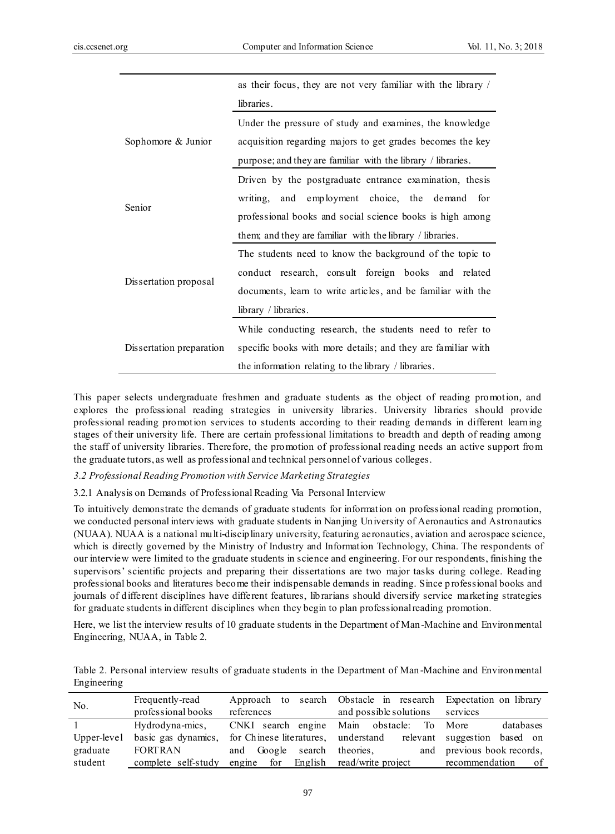|                          | as their focus, they are not very familiar with the library / |  |  |
|--------------------------|---------------------------------------------------------------|--|--|
|                          | libraries.                                                    |  |  |
|                          | Under the pressure of study and examines, the knowledge       |  |  |
| Sophomore & Junior       | acquisition regarding majors to get grades becomes the key    |  |  |
|                          | purpose; and they are familiar with the library / libraries.  |  |  |
|                          | Driven by the postgraduate entrance examination, thesis       |  |  |
|                          | and employment choice, the demand<br>writing,<br>for          |  |  |
| Senior                   | professional books and social science books is high among     |  |  |
|                          | them; and they are familiar with the library / libraries.     |  |  |
|                          | The students need to know the background of the topic to      |  |  |
|                          | conduct research, consult foreign books and related           |  |  |
| Dissertation proposal    | documents, learn to write articles, and be familiar with the  |  |  |
|                          | library / libraries.                                          |  |  |
|                          | While conducting research, the students need to refer to      |  |  |
| Dissertation preparation | specific books with more details; and they are familiar with  |  |  |
|                          | the information relating to the library / libraries.          |  |  |

This paper selects undergraduate freshmen and graduate students as the object of reading promotion, and explores the professional reading strategies in university libraries. University libraries should provide professional reading promotion services to students according to their reading demands in different learning stages of their university life. There are certain professional limitations to breadth and depth of reading among the staff of university libraries. Therefore, the promotion of professional reading needs an active support from the graduate tutors, as well as professional and technical personnel of various colleges.

#### *3.2 Professional Reading Promotion with Service Marketing Strategies*

3.2.1 Analysis on Demands of Professional Reading Via Personal Interview

To intuitively demonstrate the demands of graduate students for information on professional reading promotion, we conducted personal interviews with graduate students in Nanjing University of Aeronautics and Astronautics (NUAA). NUAA is a national multi-disciplinary university, featuring aeronautics, aviation and aerospace science, which is directly governed by the Ministry of Industry and Information Technology, China. The respondents of our interview were limited to the graduate students in science and engineering. For our respondents, finishing the supervisors' scientific projects and preparing their dissertations are two major tasks during college. Reading professional books and literatures become their indispensable demands in reading. Since p rofessional books and journals of different disciplines have different features, librarians should diversify service marketing strategies for graduate students in different disciplines when they begin to plan professional reading promotion.

Here, we list the interview results of 10 graduate students in the Department of Man-Machine and Environmental Engineering, NUAA, in Table 2.

|             | Table 2. Personal interview results of graduate students in the Department of Man-Machine and Environmental |  |  |
|-------------|-------------------------------------------------------------------------------------------------------------|--|--|
| Engineering |                                                                                                             |  |  |

| No.         | Frequently-read     |                                       | Approach to search Obstacle in research Expectation on library   |                            |
|-------------|---------------------|---------------------------------------|------------------------------------------------------------------|----------------------------|
|             | professional books  | references                            | and possible solutions                                           | services                   |
|             | Hydrodyna-mics,     |                                       | CNKI search engine Main obstacle: To More                        | databases                  |
| Upper-level | basic gas dynamics, |                                       | for Chinese literatures, understand relevant suggestion based on |                            |
| graduate    | <b>FORTRAN</b>      | and Google search theories,           |                                                                  | and previous book records, |
| student     | complete self-study | engine for English read/write project |                                                                  | recommendation<br>- of     |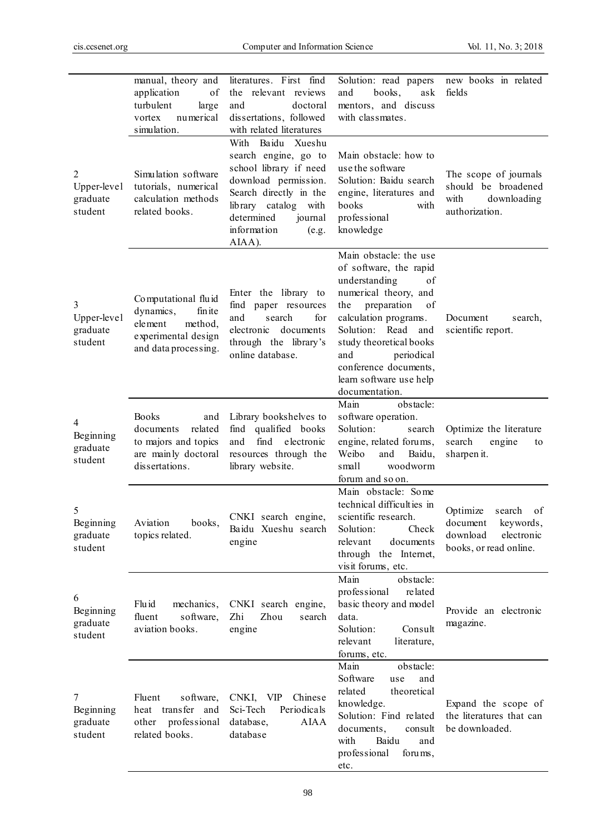|                                                      | manual, theory and<br>application<br>of<br>turbulent<br>large<br>numerical<br>vortex<br>simulation.              | literatures. First find<br>the relevant reviews<br>and<br>doctoral<br>dissertations, followed<br>with related literatures                                                                                   | Solution: read papers<br>books,<br>ask<br>and<br>mentors, and discuss<br>with classmates.                                                                                                                                                                                                               | new books in related<br>fields                                                                        |
|------------------------------------------------------|------------------------------------------------------------------------------------------------------------------|-------------------------------------------------------------------------------------------------------------------------------------------------------------------------------------------------------------|---------------------------------------------------------------------------------------------------------------------------------------------------------------------------------------------------------------------------------------------------------------------------------------------------------|-------------------------------------------------------------------------------------------------------|
| $\overline{c}$<br>Upper-level<br>graduate<br>student | Simulation software<br>tutorials, numerical<br>calculation methods<br>related books.                             | With<br>Baidu Xueshu<br>search engine, go to<br>school library if need<br>download permission.<br>Search directly in the<br>library catalog with<br>determined<br>journal<br>information<br>(e.g.<br>AIAA). | Main obstacle: how to<br>use the software<br>Solution: Baidu search<br>engine, literatures and<br>books<br>with<br>professional<br>knowledge                                                                                                                                                            | The scope of journals<br>should be broadened<br>with<br>downloading<br>authorization.                 |
| 3<br>Upper-level<br>graduate<br>student              | Computational fluid<br>dynamics,<br>fin ite<br>element<br>method,<br>experimental design<br>and data processing. | Enter the library to<br>find paper resources<br>search<br>for<br>and<br>documents<br>electronic<br>through the library's<br>online database.                                                                | Main obstacle: the use<br>of software, the rapid<br>understanding<br>of<br>numerical theory, and<br>preparation<br>of<br>the<br>calculation programs.<br>Read<br>Solution:<br>and<br>study theoretical books<br>and<br>periodical<br>conference documents,<br>learn software use help<br>documentation. | Document<br>search,<br>scientific report.                                                             |
| 4<br>Beginning<br>graduate<br>student                | <b>Books</b><br>and<br>related<br>documents<br>to majors and topics<br>are mainly doctoral<br>dissertations.     | Library bookshelves to<br>find qualified books<br>electronic<br>find<br>and<br>resources through the<br>library website.                                                                                    | Main<br>obstacle:<br>software operation.<br>Solution:<br>search<br>engine, related forums,<br>Weibo<br>and<br>Baidu,<br>small<br>woodworm<br>forum and so on.                                                                                                                                           | Optimize the literature<br>search<br>engine<br>to<br>sharpen it.                                      |
| 5<br>Beginning<br>graduate<br>student                | Aviation<br>books,<br>topics related.                                                                            | CNKI search engine,<br>Baidu Xueshu search<br>engine                                                                                                                                                        | Main obstacle: Some<br>technical difficulties in<br>scientific research.<br>Check<br>Solution:<br>relevant<br>documents<br>through the Internet,<br>visit forums, etc.                                                                                                                                  | Optimize<br>search<br>οf<br>document<br>keywords,<br>download<br>electronic<br>books, or read online. |
| 6<br>Beginning<br>graduate<br>student                | Flu id<br>mechanics,<br>software,<br>fluent<br>aviation books.                                                   | CNKI search engine,<br>Zhi<br>Zhou<br>search<br>engine                                                                                                                                                      | Main<br>obstacle:<br>professional<br>related<br>basic theory and model<br>data.<br>Solution:<br>Consult<br>relevant<br>literature,<br>forums, etc.                                                                                                                                                      | Provide an electronic<br>magazine.                                                                    |
| 7<br>Beginning<br>graduate<br>student                | Fluent<br>software,<br>heat transfer and<br>professional<br>other<br>related books.                              | CNKI, VIP<br>Chinese<br>Sci-Tech<br>Periodicals<br><b>AIAA</b><br>database,<br>database                                                                                                                     | Main<br>obstacle:<br>Software<br>and<br>use<br>related<br>theoretical<br>knowledge.<br>Solution: Find related<br>documents,<br>consult<br>with<br>Baidu<br>and<br>professional<br>forums,<br>etc.                                                                                                       | Expand the scope of<br>the literatures that can<br>be downloaded.                                     |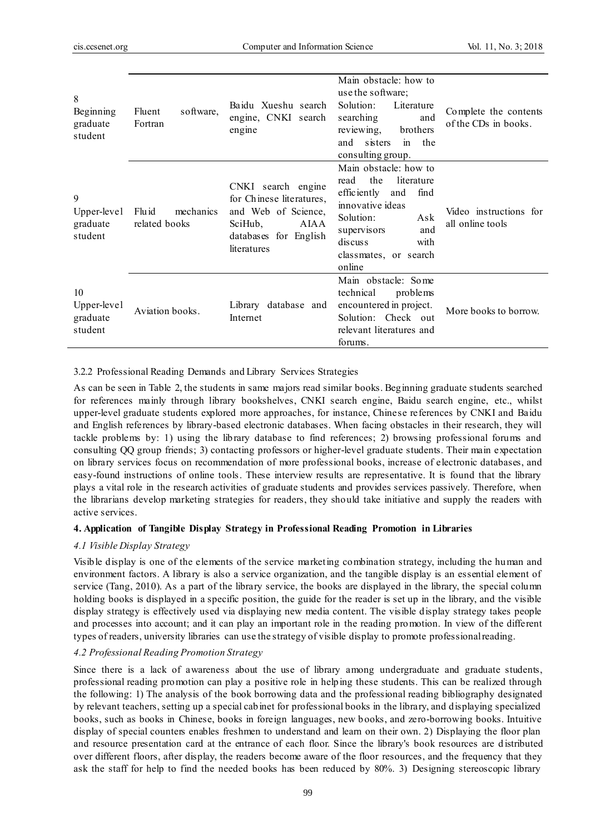| 8<br>Beginning<br>graduate<br>student    | software,<br>Fluent<br>Fortran       | Baidu Xueshu search<br>engine, CNKI search<br>engine                                                                             | Main obstacle: how to<br>use the software;<br>Solution:<br>Literature<br>searching<br>and<br>reviewing,<br>brothers<br>and sisters<br>in the<br>consulting group.                                    | Complete the contents<br>of the CDs in books. |
|------------------------------------------|--------------------------------------|----------------------------------------------------------------------------------------------------------------------------------|------------------------------------------------------------------------------------------------------------------------------------------------------------------------------------------------------|-----------------------------------------------|
| 9<br>Upper-level<br>graduate<br>student  | mechanics<br>Flu id<br>related books | CNKI search engine<br>for Chinese literatures,<br>and Web of Science,<br>SciHub,<br>AIAA<br>databases for English<br>literatures | Main obstacle: how to<br>the<br>literature<br>read<br>efficiently<br>find<br>and<br>innovative ideas<br>Solution:<br>Ask<br>supervisors<br>and<br>discuss<br>with<br>classmates, or search<br>online | Video instructions for<br>all online tools    |
| 10<br>Upper-level<br>graduate<br>student | Aviation books.                      | Library database and<br>Internet                                                                                                 | Main obstacle: Some<br>technical<br>problems<br>encountered in project.<br>Solution: Check out<br>relevant literatures and<br>forums.                                                                | More books to borrow.                         |

3.2.2 Professional Reading Demands and Library Services Strategies

As can be seen in Table 2, the students in same majors read similar books. Beginning graduate students searched for references mainly through library bookshelves, CNKI search engine, Baidu search engine, etc., whilst upper-level graduate students explored more approaches, for instance, Chinese references by CNKI and Baidu and English references by library-based electronic databases. When facing obstacles in their research, they will tackle problems by: 1) using the library database to find references; 2) browsing professional forums and consulting QQ group friends; 3) contacting professors or higher-level graduate students. Their main expectation on library services focus on recommendation of more professional books, increase of electronic databases, and easy-found instructions of online tools. These interview results are representative. It is found that the library plays a vital role in the research activities of graduate students and provides services passively. Therefore, when the librarians develop marketing strategies for readers, they should take initiative and supply the readers with active services.

# **4. Application of Tangible Display Strategy in Professional Reading Promotion in Libraries**

# *4.1 Visible Display Strategy*

Visible display is one of the elements of the service marketing combination strategy, including the human and environment factors. A library is also a service organization, and the tangible display is an essential element of service (Tang, 2010). As a part of the library service, the books are displayed in the library, the special column holding books is displayed in a specific position, the guide for the reader is set up in the library, and the visible display strategy is effectively used via displaying new media content. The visible display strategy takes people and processes into account; and it can play an important role in the reading promotion. In view of the different types of readers, university libraries can use the strategy of visible display to promote professional reading.

# *4.2 Professional Reading Promotion Strategy*

Since there is a lack of awareness about the use of library among undergraduate and graduate students, professional reading promotion can play a positive role in helping these students. This can be realized through the following: 1) The analysis of the book borrowing data and the professional reading bibliography designated by relevant teachers, setting up a special cabinet for professional books in the library, and displaying specialized books, such as books in Chinese, books in foreign languages, new books, and zero-borrowing books. Intuitive display of special counters enables freshmen to understand and learn on their own. 2) Displaying the floor plan and resource presentation card at the entrance of each floor. Since the library's book resources are d istributed over different floors, after display, the readers become aware of the floor resources, and the frequency that they ask the staff for help to find the needed books has been reduced by 80%. 3) Designing stereoscopic library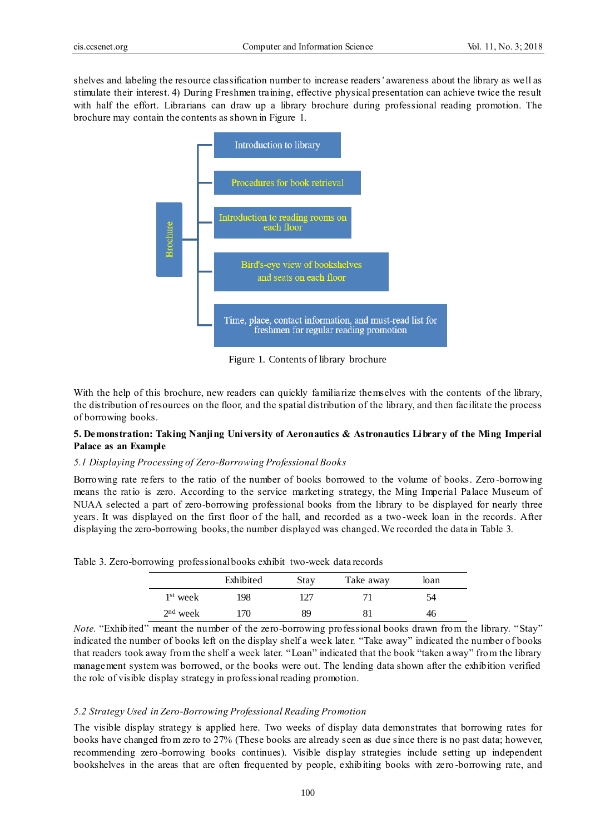shelves and labeling the resource classification number to increase readers' awareness about the library as well as stimulate their interest. 4) During Freshmen training, effective physical presentation can achieve twice the result with half the effort. Librarians can draw up a library brochure during professional reading promotion. The brochure may contain the contents as shown in Figure 1.



Figure 1. Contents of library brochure

With the help of this brochure, new readers can quickly familiarize themselves with the contents of the library, the distribution of resources on the floor, and the spatial distribution of the library, and then facilitate the process of borrowing books.

# **5. Demonstration: Taking Nanjing University of Aeronautics & Astronautics Library of the Ming Imperial Palace as an Example**

#### *5.1 Displaying Processing of Zero-Borrowing Professional Books*

Borrowing rate refers to the ratio of the number of books borrowed to the volume of books. Zero -borrowing means the ratio is zero. According to the service marketing strategy, the Ming Imperial Palace Museum of NUAA selected a part of zero-borrowing professional books from the library to be displayed for nearly three years. It was displayed on the first floor of the hall, and recorded as a two -week loan in the records. After displaying the zero-borrowing books, the number displayed was changed. We recorded the data in Table 3.

|                      | Exhibited       | <b>Stay</b> | Take away | loan |  |
|----------------------|-----------------|-------------|-----------|------|--|
| 1 <sup>st</sup> week | 198             | 127         |           | 54   |  |
| $2nd$ week           | $\overline{70}$ | Ŗg          |           | 40   |  |

Table 3. Zero-borrowing professional books exhibit two-week data records

*Note.* "Exhibited" meant the number of the zero-borrowing professional books drawn from the library. "Stay" indicated the number of books left on the display shelf a week later. "Take away" indicated the number of books that readers took away from the shelf a week later. "Loan" indicated that the book "taken away" from the library management system was borrowed, or the books were out. The lending data shown after the exhibition verified the role of visible display strategy in professional reading promotion.

#### *5.2 Strategy Used in Zero-Borrowing Professional Reading Promotion*

The visible display strategy is applied here. Two weeks of display data demonstrates that borrowing rates for books have changed from zero to 27% (These books are already seen as due since there is no past data; however, recommending zero -borrowing books continues). Visible display strategies include setting up independent bookshelves in the areas that are often frequented by people, exhibiting books with zero -borrowing rate, and